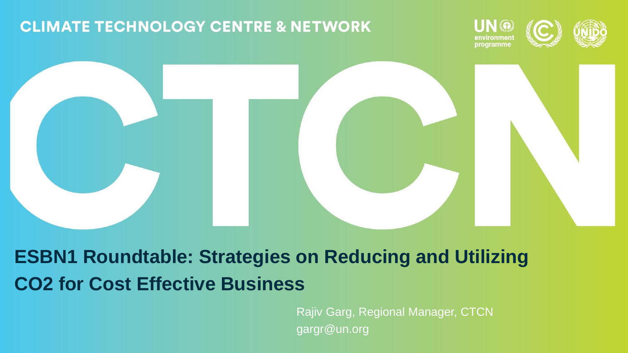#### **CLIMATE TECHNOLOGY CENTRE & NETWORK**





**ESBN1 Roundtable: Strategies on Reducing and Utilizing CO2 for Cost Effective Business**

> Rajiv Garg, Regional Manager, CTCN gargr@un.org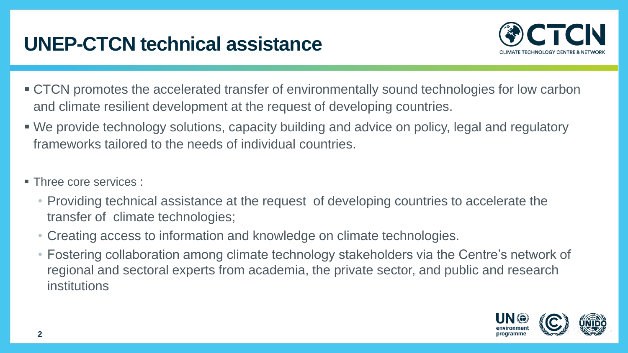# **UNEP-CTCN technical assistance**



- CTCN promotes the accelerated transfer of environmentally sound technologies for low carbon and climate resilient development at the request of developing countries.
- We provide technology solutions, capacity building and advice on policy, legal and regulatory frameworks tailored to the needs of individual countries.
- **Three core services :** 
	- Providing technical assistance at the request of developing countries to accelerate the transfer of climate technologies;
	- Creating access to information and knowledge on climate technologies.
	- Fostering collaboration among climate technology stakeholders via the Centre's network of regional and sectoral experts from academia, the private sector, and public and research institutions

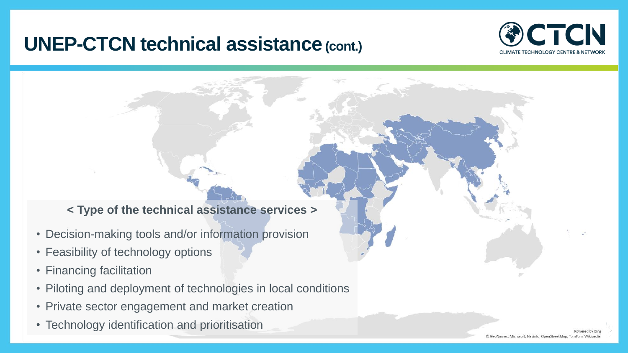### **UNEP-CTCN technical assistance(cont.)**



#### **< Type of the technical assistance services >**

- Decision-making tools and/or information provision
- Feasibility of technology options
- Financing facilitation
- Piloting and deployment of technologies in local conditions
- Private sector engagement and market creation
- Technology identification and prioritisation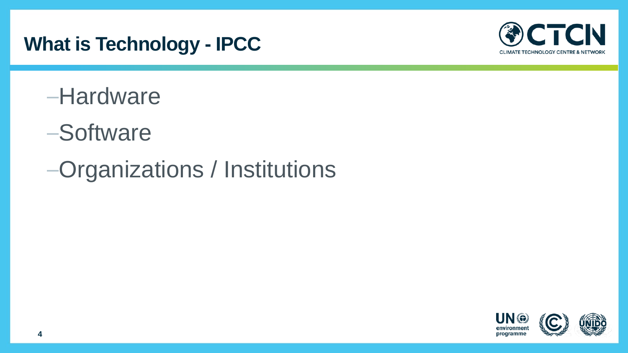# **What is Technology - IPCC**



- –Hardware
- –Software
- –Organizations / Institutions

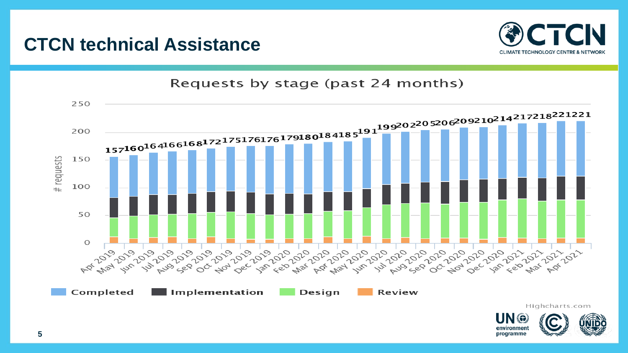

#### **CTCN technical Assistance**



Highcharts.com

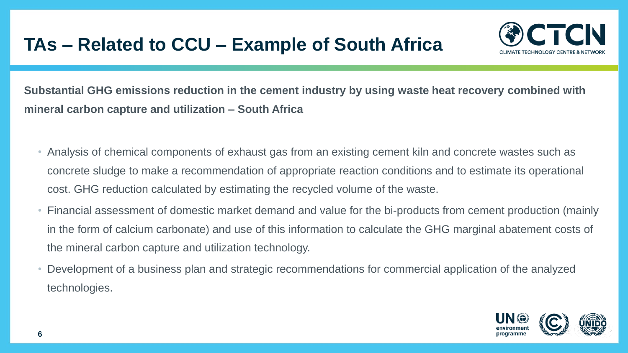## **TAs – Related to CCU – Example of South Africa**



**Substantial GHG emissions reduction in the cement industry by using waste heat recovery combined with mineral carbon capture and utilization – South Africa**

- Analysis of chemical components of exhaust gas from an existing cement kiln and concrete wastes such as concrete sludge to make a recommendation of appropriate reaction conditions and to estimate its operational cost. GHG reduction calculated by estimating the recycled volume of the waste.
- Financial assessment of domestic market demand and value for the bi-products from cement production (mainly in the form of calcium carbonate) and use of this information to calculate the GHG marginal abatement costs of the mineral carbon capture and utilization technology.
- Development of a business plan and strategic recommendations for commercial application of the analyzed technologies.

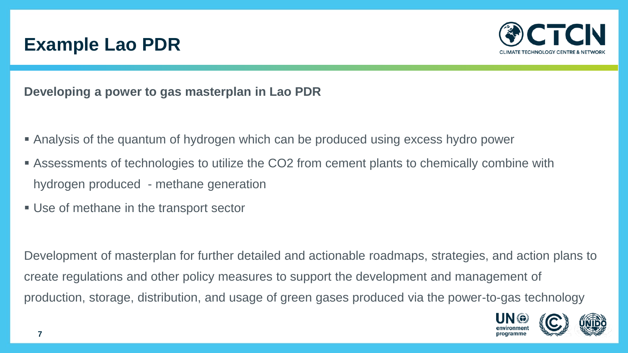## **Example Lao PDR**



**Developing a power to gas masterplan in Lao PDR**

- Analysis of the quantum of hydrogen which can be produced using excess hydro power
- **Examents of technologies to utilize the CO2 from cement plants to chemically combine with** hydrogen produced - methane generation
- Use of methane in the transport sector

Development of masterplan for further detailed and actionable roadmaps, strategies, and action plans to create regulations and other policy measures to support the development and management of production, storage, distribution, and usage of green gases produced via the power-to-gas technology

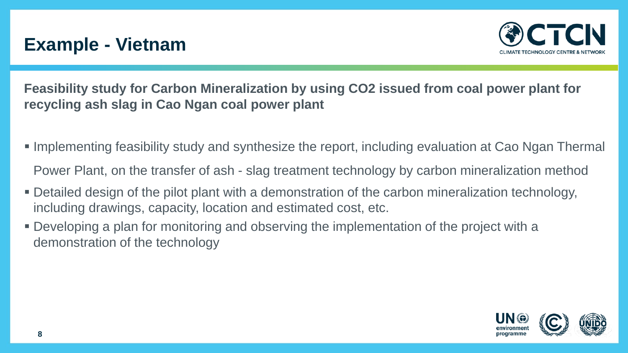## **Example - Vietnam**



**Feasibility study for Carbon Mineralization by using CO2 issued from coal power plant for recycling ash slag in Cao Ngan coal power plant**

- Implementing feasibility study and synthesize the report, including evaluation at Cao Ngan Thermal Power Plant, on the transfer of ash - slag treatment technology by carbon mineralization method
- Detailed design of the pilot plant with a demonstration of the carbon mineralization technology, including drawings, capacity, location and estimated cost, etc.
- Developing a plan for monitoring and observing the implementation of the project with a demonstration of the technology

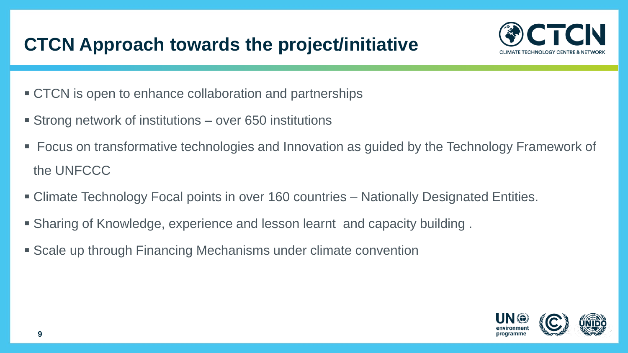# **CTCN Approach towards the project/initiative**



- CTCN is open to enhance collaboration and partnerships
- Strong network of institutions over 650 institutions
- Focus on transformative technologies and Innovation as guided by the Technology Framework of the UNFCCC
- **EXA** Climate Technology Focal points in over 160 countries Nationally Designated Entities.
- Sharing of Knowledge, experience and lesson learnt and capacity building.
- Scale up through Financing Mechanisms under climate convention